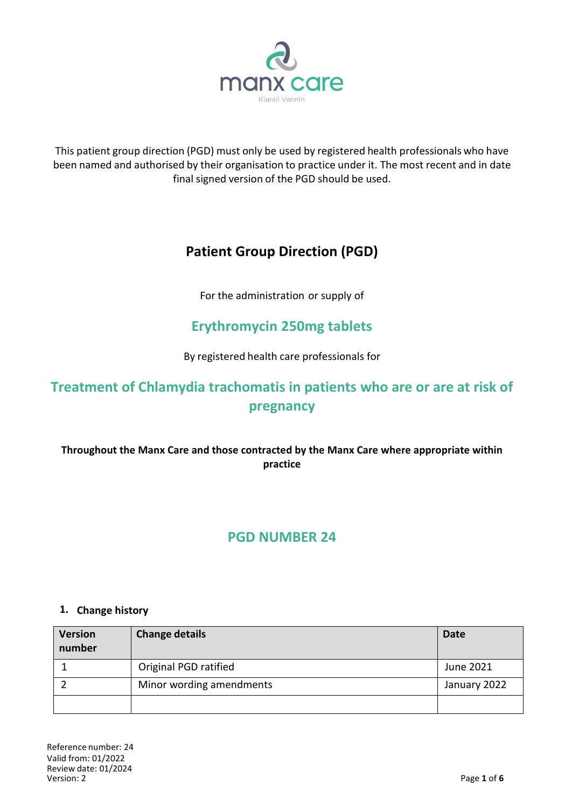

This patient group direction (PGD) must only be used by registered health professionals who have been named and authorised by their organisation to practice under it. The most recent and in date final signed version of the PGD should be used.

# **Patient Group Direction (PGD)**

For the administration or supply of

## **Erythromycin 250mg tablets**

By registered health care professionals for

# **Treatment of Chlamydia trachomatis in patients who are or are at risk of pregnancy**

### **Throughout the Manx Care and those contracted by the Manx Care where appropriate within practice**

## **PGD NUMBER 24**

#### **1. Change history**

| <b>Version</b><br>number | <b>Change details</b>    | <b>Date</b>  |
|--------------------------|--------------------------|--------------|
|                          | Original PGD ratified    | June 2021    |
|                          | Minor wording amendments | January 2022 |
|                          |                          |              |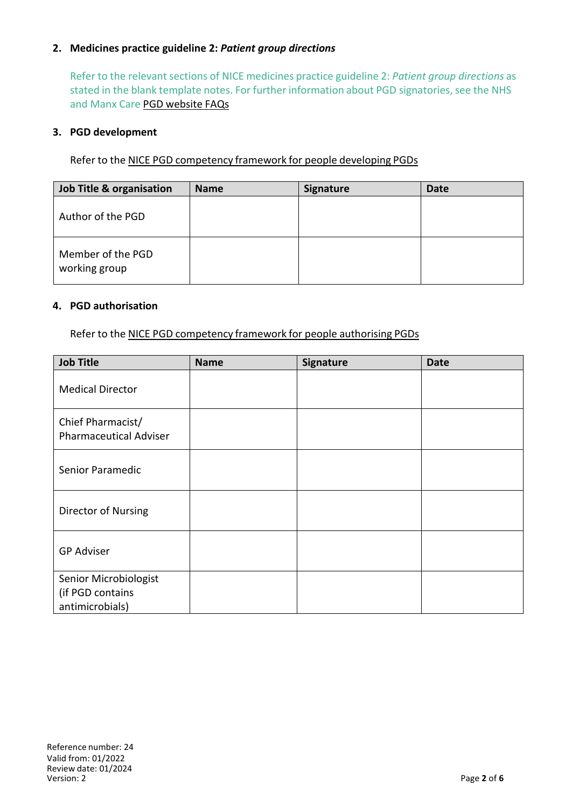#### **2. Medicines practice guideline 2:** *Patient group directions*

Refer to the relevant sections of NICE medicines practice guideline 2: *Patient group directions* as stated in the blank template notes. For further information about PGD signatories, see the NHS and Manx Care PGD website FAQs

#### **3. PGD development**

Refer to the NICE PGD competency framework for people developing PGDs

| <b>Job Title &amp; organisation</b> | <b>Name</b> | <b>Signature</b> | <b>Date</b> |
|-------------------------------------|-------------|------------------|-------------|
| Author of the PGD                   |             |                  |             |
| Member of the PGD<br>working group  |             |                  |             |

#### **4. PGD authorisation**

Refer to the NICE PGD competency framework for people authorising PGDs

| <b>Job Title</b>                                             | <b>Name</b> | Signature | <b>Date</b> |
|--------------------------------------------------------------|-------------|-----------|-------------|
| <b>Medical Director</b>                                      |             |           |             |
| Chief Pharmacist/<br><b>Pharmaceutical Adviser</b>           |             |           |             |
| Senior Paramedic                                             |             |           |             |
| Director of Nursing                                          |             |           |             |
| <b>GP Adviser</b>                                            |             |           |             |
| Senior Microbiologist<br>(if PGD contains<br>antimicrobials) |             |           |             |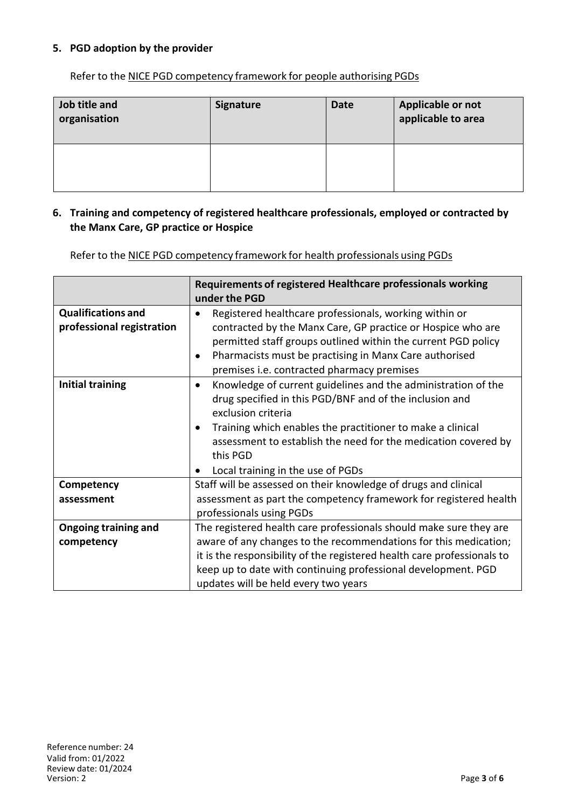#### **5. PGD adoption by the provider**

Refer to the NICE PGD competency framework for people authorising PGDs

| Job title and<br>organisation | <b>Signature</b> | <b>Date</b> | Applicable or not<br>applicable to area |
|-------------------------------|------------------|-------------|-----------------------------------------|
|                               |                  |             |                                         |

#### **6. Training and competency of registered healthcare professionals, employed or contracted by the Manx Care, GP practice or Hospice**

Refer to the NICE PGD competency framework for health professionals using PGDs

|                                                        | Requirements of registered Healthcare professionals working<br>under the PGD                                                                                                                                                                                                                                                                 |  |
|--------------------------------------------------------|----------------------------------------------------------------------------------------------------------------------------------------------------------------------------------------------------------------------------------------------------------------------------------------------------------------------------------------------|--|
| <b>Qualifications and</b><br>professional registration | Registered healthcare professionals, working within or<br>contracted by the Manx Care, GP practice or Hospice who are<br>permitted staff groups outlined within the current PGD policy<br>Pharmacists must be practising in Manx Care authorised<br>premises i.e. contracted pharmacy premises                                               |  |
| <b>Initial training</b>                                | Knowledge of current guidelines and the administration of the<br>$\bullet$<br>drug specified in this PGD/BNF and of the inclusion and<br>exclusion criteria<br>Training which enables the practitioner to make a clinical<br>assessment to establish the need for the medication covered by<br>this PGD<br>Local training in the use of PGDs |  |
| Competency                                             | Staff will be assessed on their knowledge of drugs and clinical                                                                                                                                                                                                                                                                              |  |
| assessment                                             | assessment as part the competency framework for registered health<br>professionals using PGDs                                                                                                                                                                                                                                                |  |
| <b>Ongoing training and</b>                            | The registered health care professionals should make sure they are                                                                                                                                                                                                                                                                           |  |
| competency                                             | aware of any changes to the recommendations for this medication;                                                                                                                                                                                                                                                                             |  |
|                                                        | it is the responsibility of the registered health care professionals to                                                                                                                                                                                                                                                                      |  |
|                                                        | keep up to date with continuing professional development. PGD                                                                                                                                                                                                                                                                                |  |
|                                                        | updates will be held every two years                                                                                                                                                                                                                                                                                                         |  |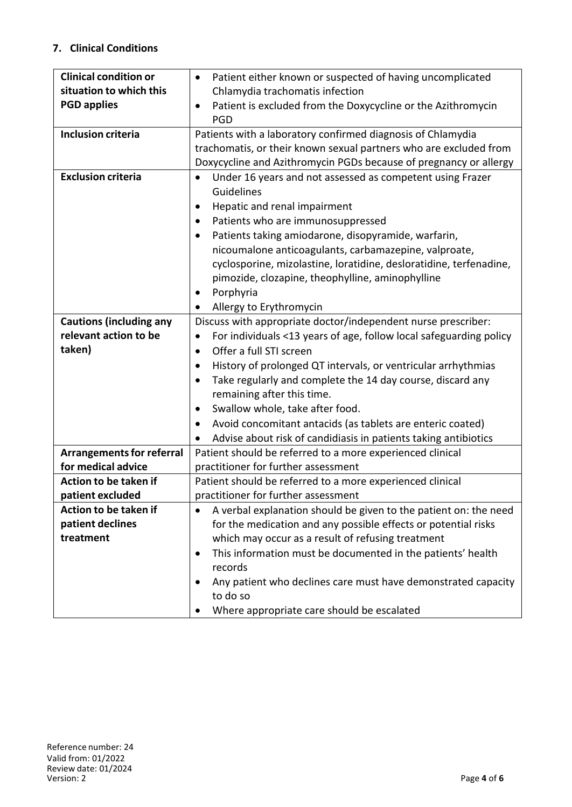### **7. Clinical Conditions**

| <b>Clinical condition or</b>     | Patient either known or suspected of having uncomplicated<br>٠                |  |  |
|----------------------------------|-------------------------------------------------------------------------------|--|--|
| situation to which this          | Chlamydia trachomatis infection                                               |  |  |
| <b>PGD applies</b>               | Patient is excluded from the Doxycycline or the Azithromycin                  |  |  |
|                                  | <b>PGD</b>                                                                    |  |  |
| <b>Inclusion criteria</b>        | Patients with a laboratory confirmed diagnosis of Chlamydia                   |  |  |
|                                  | trachomatis, or their known sexual partners who are excluded from             |  |  |
|                                  | Doxycycline and Azithromycin PGDs because of pregnancy or allergy             |  |  |
| <b>Exclusion criteria</b>        | Under 16 years and not assessed as competent using Frazer<br>$\bullet$        |  |  |
|                                  | Guidelines                                                                    |  |  |
|                                  | Hepatic and renal impairment<br>٠                                             |  |  |
|                                  | Patients who are immunosuppressed<br>$\bullet$                                |  |  |
|                                  | Patients taking amiodarone, disopyramide, warfarin,                           |  |  |
|                                  | nicoumalone anticoagulants, carbamazepine, valproate,                         |  |  |
|                                  | cyclosporine, mizolastine, loratidine, desloratidine, terfenadine,            |  |  |
|                                  | pimozide, clozapine, theophylline, aminophylline                              |  |  |
|                                  | Porphyria<br>٠                                                                |  |  |
|                                  | Allergy to Erythromycin                                                       |  |  |
| <b>Cautions (including any</b>   | Discuss with appropriate doctor/independent nurse prescriber:                 |  |  |
| relevant action to be            | For individuals <13 years of age, follow local safeguarding policy            |  |  |
| taken)                           | Offer a full STI screen<br>$\bullet$                                          |  |  |
|                                  | History of prolonged QT intervals, or ventricular arrhythmias<br>$\bullet$    |  |  |
|                                  | Take regularly and complete the 14 day course, discard any<br>$\bullet$       |  |  |
|                                  | remaining after this time.                                                    |  |  |
|                                  | Swallow whole, take after food.<br>$\bullet$                                  |  |  |
|                                  | Avoid concomitant antacids (as tablets are enteric coated)                    |  |  |
|                                  | Advise about risk of candidiasis in patients taking antibiotics               |  |  |
| <b>Arrangements for referral</b> | Patient should be referred to a more experienced clinical                     |  |  |
| for medical advice               | practitioner for further assessment                                           |  |  |
| Action to be taken if            | Patient should be referred to a more experienced clinical                     |  |  |
| patient excluded                 | practitioner for further assessment                                           |  |  |
| Action to be taken if            | A verbal explanation should be given to the patient on: the need<br>$\bullet$ |  |  |
| patient declines                 | for the medication and any possible effects or potential risks                |  |  |
| treatment                        | which may occur as a result of refusing treatment                             |  |  |
|                                  | This information must be documented in the patients' health<br>٠              |  |  |
|                                  | records                                                                       |  |  |
|                                  | Any patient who declines care must have demonstrated capacity                 |  |  |
|                                  | to do so                                                                      |  |  |
|                                  | Where appropriate care should be escalated                                    |  |  |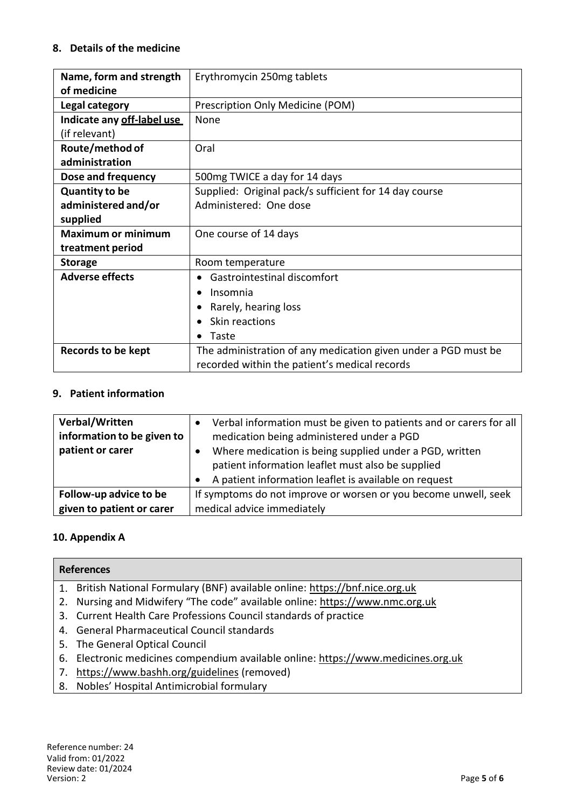#### **8. Details of the medicine**

| Name, form and strength    | Erythromycin 250mg tablets                                     |
|----------------------------|----------------------------------------------------------------|
| of medicine                |                                                                |
| Legal category             | Prescription Only Medicine (POM)                               |
| Indicate any off-label use | None                                                           |
| (if relevant)              |                                                                |
| Route/method of            | Oral                                                           |
| administration             |                                                                |
| Dose and frequency         | 500mg TWICE a day for 14 days                                  |
| <b>Quantity to be</b>      | Supplied: Original pack/s sufficient for 14 day course         |
| administered and/or        | Administered: One dose                                         |
| supplied                   |                                                                |
| <b>Maximum or minimum</b>  | One course of 14 days                                          |
| treatment period           |                                                                |
| <b>Storage</b>             | Room temperature                                               |
| <b>Adverse effects</b>     | Gastrointestinal discomfort<br>$\bullet$                       |
|                            | Insomnia<br>$\bullet$                                          |
|                            | Rarely, hearing loss                                           |
|                            | Skin reactions<br>$\bullet$                                    |
|                            | Taste<br>$\bullet$                                             |
| <b>Records to be kept</b>  | The administration of any medication given under a PGD must be |
|                            | recorded within the patient's medical records                  |

### **9. Patient information**

| Verbal/Written             | Verbal information must be given to patients and or carers for all                                           |
|----------------------------|--------------------------------------------------------------------------------------------------------------|
| information to be given to | medication being administered under a PGD                                                                    |
| patient or carer           | Where medication is being supplied under a PGD, written<br>patient information leaflet must also be supplied |
|                            | A patient information leaflet is available on request                                                        |
| Follow-up advice to be     | If symptoms do not improve or worsen or you become unwell, seek                                              |
| given to patient or carer  | medical advice immediately                                                                                   |

### **10. Appendix A**

|    | <b>References</b>                                                                 |
|----|-----------------------------------------------------------------------------------|
|    | 1. British National Formulary (BNF) available online: https://bnf.nice.org.uk     |
| 2. | Nursing and Midwifery "The code" available online: https://www.nmc.org.uk         |
|    | 3. Current Health Care Professions Council standards of practice                  |
|    | 4. General Pharmaceutical Council standards                                       |
|    | 5. The General Optical Council                                                    |
|    | 6. Electronic medicines compendium available online: https://www.medicines.org.uk |
| 7. | https://www.bashh.org/guidelines (removed)                                        |
|    | 8. Nobles' Hospital Antimicrobial formulary                                       |